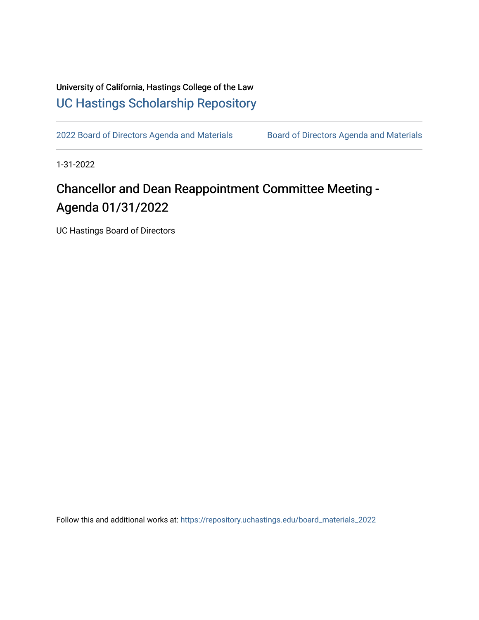University of California, Hastings College of the Law [UC Hastings Scholarship Repository](https://repository.uchastings.edu/) 

[2022 Board of Directors Agenda and Materials](https://repository.uchastings.edu/board_materials_2022) Board of Directors Agenda and Materials

1-31-2022

## Chancellor and Dean Reappointment Committee Meeting - Agenda 01/31/2022

UC Hastings Board of Directors

Follow this and additional works at: [https://repository.uchastings.edu/board\\_materials\\_2022](https://repository.uchastings.edu/board_materials_2022?utm_source=repository.uchastings.edu%2Fboard_materials_2022%2F5&utm_medium=PDF&utm_campaign=PDFCoverPages)